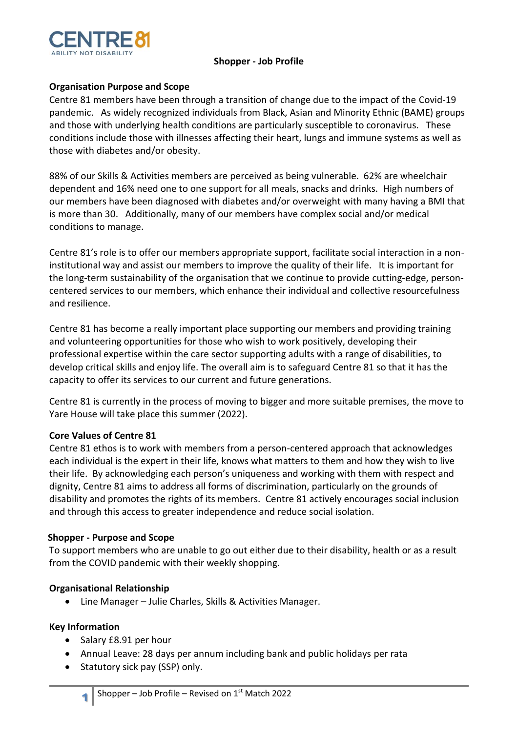

### **Shopper - Job Profile**

# **Organisation Purpose and Scope**

Centre 81 members have been through a transition of change due to the impact of the Covid-19 pandemic. As widely recognized individuals from Black, Asian and Minority Ethnic (BAME) groups and those with underlying health conditions are particularly susceptible to coronavirus. These conditions include those with illnesses affecting their heart, lungs and immune systems as well as those with diabetes and/or obesity.

88% of our Skills & Activities members are perceived as being vulnerable. 62% are wheelchair dependent and 16% need one to one support for all meals, snacks and drinks. High numbers of our members have been diagnosed with diabetes and/or overweight with many having a BMI that is more than 30. Additionally, many of our members have complex social and/or medical conditions to manage.

Centre 81's role is to offer our members appropriate support, facilitate social interaction in a noninstitutional way and assist our members to improve the quality of their life. It is important for the long-term sustainability of the organisation that we continue to provide cutting-edge, personcentered services to our members, which enhance their individual and collective resourcefulness and resilience.

Centre 81 has become a really important place supporting our members and providing training and volunteering opportunities for those who wish to work positively, developing their professional expertise within the care sector supporting adults with a range of disabilities, to develop critical skills and enjoy life. The overall aim is to safeguard Centre 81 so that it has the capacity to offer its services to our current and future generations.

Centre 81 is currently in the process of moving to bigger and more suitable premises, the move to Yare House will take place this summer (2022).

#### **Core Values of Centre 81**

Centre 81 ethos is to work with members from a person-centered approach that acknowledges each individual is the expert in their life, knows what matters to them and how they wish to live their life. By acknowledging each person's uniqueness and working with them with respect and dignity, Centre 81 aims to address all forms of discrimination, particularly on the grounds of disability and promotes the rights of its members. Centre 81 actively encourages social inclusion and through this access to greater independence and reduce social isolation.

#### **Shopper - Purpose and Scope**

To support members who are unable to go out either due to their disability, health or as a result from the COVID pandemic with their weekly shopping.

# **Organisational Relationship**

• Line Manager – Julie Charles, Skills & Activities Manager.

#### **Key Information**

**1**

- Salary £8.91 per hour
- Annual Leave: 28 days per annum including bank and public holidays per rata
- Statutory sick pay (SSP) only.